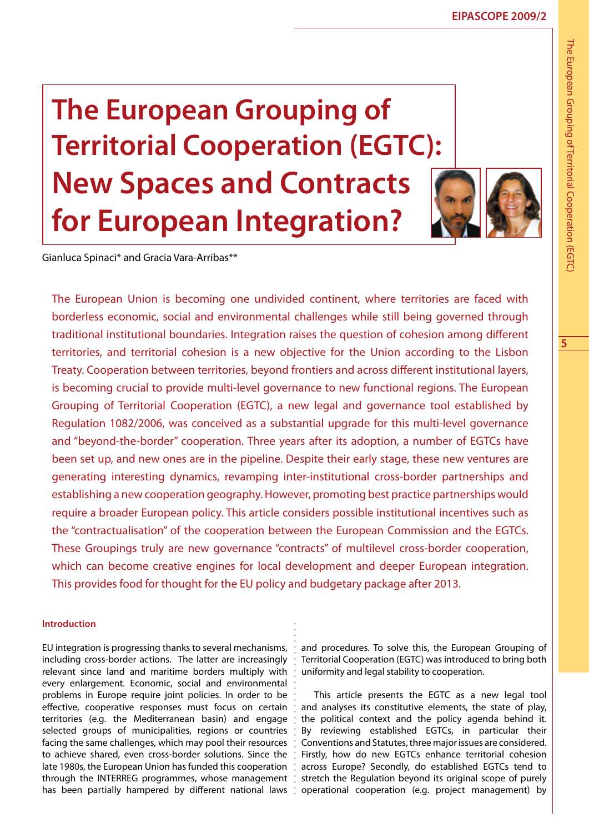# **The European Grouping of Territorial Cooperation (EGTC): New Spaces and Contracts for European Integration?**



Gianluca Spinaci\* and Gracia Vara-Arribas\*\*

The European Union is becoming one undivided continent, where territories are faced with borderless economic, social and environmental challenges while still being governed through traditional institutional boundaries. Integration raises the question of cohesion among different territories, and territorial cohesion is a new objective for the Union according to the Lisbon Treaty. Cooperation between territories, beyond frontiers and across different institutional layers, is becoming crucial to provide multi-level governance to new functional regions. The European Grouping of Territorial Cooperation (EGTC), a new legal and governance tool established by Regulation 1082/2006, was conceived as a substantial upgrade for this multi-level governance and "beyond-the-border" cooperation. Three years after its adoption, a number of EGTCs have been set up, and new ones are in the pipeline. Despite their early stage, these new ventures are generating interesting dynamics, revamping inter-institutional cross-border partnerships and establishing a new cooperation geography. However, promoting best practice partnerships would require a broader European policy. This article considers possible institutional incentives such as the "contractualisation" of the cooperation between the European Commission and the EGTCs. These Groupings truly are new governance "contracts" of multilevel cross-border cooperation, which can become creative engines for local development and deeper European integration. This provides food for thought for the EU policy and budgetary package after 2013.

## **Introduction**

EU integration is progressing thanks to several mechanisms, including cross-border actions. The latter are increasingly relevant since land and maritime borders multiply with every enlargement. Economic, social and environmental problems in Europe require joint policies. In order to be effective, cooperative responses must focus on certain territories (e.g. the Mediterranean basin) and engage selected groups of municipalities, regions or countries facing the same challenges, which may pool their resources to achieve shared, even cross-border solutions. Since the late 1980s, the European Union has funded this cooperation through the INTERREG programmes, whose management has been partially hampered by different national laws

and procedures. To solve this, the European Grouping of Territorial Cooperation (EGTC) was introduced to bring both uniformity and legal stability to cooperation.

This article presents the EGTC as a new legal tool and analyses its constitutive elements, the state of play, the political context and the policy agenda behind it. By reviewing established EGTCs, in particular their Conventions and Statutes, three major issues are considered. Firstly, how do new EGTCs enhance territorial cohesion across Europe? Secondly, do established EGTCs tend to stretch the Regulation beyond its original scope of purely operational cooperation (e.g. project management) by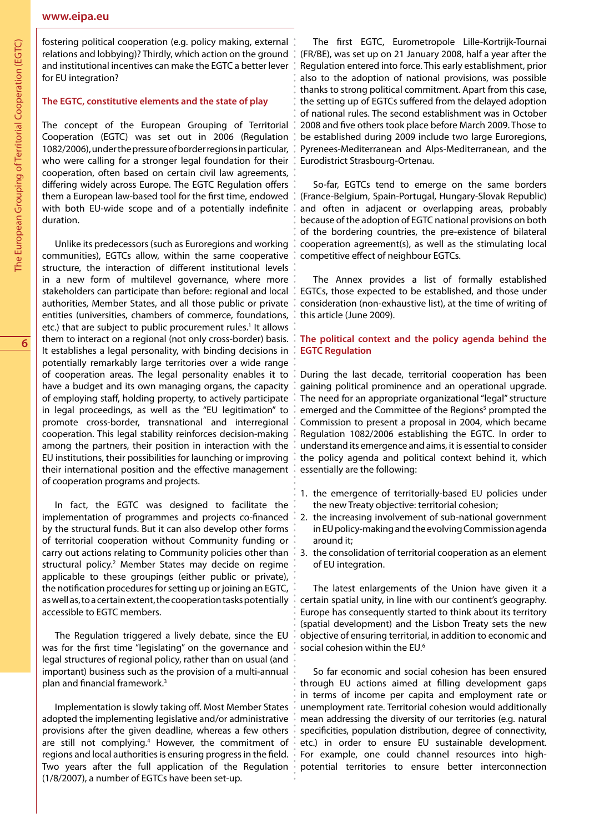#### **www.eipa.eu**

fostering political cooperation (e.g. policy making, external relations and lobbying)? Thirdly, which action on the ground and institutional incentives can make the EGTC a better lever for EU integration?

#### **The EGTC, constitutive elements and the state of play**

The concept of the European Grouping of Territorial Cooperation (EGTC) was set out in 2006 (Regulation 1082/2006), under the pressure of border regions in particular, who were calling for a stronger legal foundation for their cooperation, often based on certain civil law agreements, differing widely across Europe. The EGTC Regulation offers them a European law-based tool for the first time, endowed with both EU-wide scope and of a potentially indefinite duration.

Unlike its predecessors (such as Euroregions and working communities), EGTCs allow, within the same cooperative structure, the interaction of different institutional levels in a new form of multilevel governance, where more stakeholders can participate than before: regional and local authorities, Member States, and all those public or private entities (universities, chambers of commerce, foundations, etc.) that are subject to public procurement rules.<sup>1</sup> It allows them to interact on a regional (not only cross-border) basis. It establishes a legal personality, with binding decisions in potentially remarkably large territories over a wide range of cooperation areas. The legal personality enables it to have a budget and its own managing organs, the capacity of employing staff, holding property, to actively participate in legal proceedings, as well as the "EU legitimation" to promote cross-border, transnational and interregional cooperation. This legal stability reinforces decision-making among the partners, their position in interaction with the EU institutions, their possibilities for launching or improving their international position and the effective management of cooperation programs and projects.

In fact, the EGTC was designed to facilitate the implementation of programmes and projects co-financed by the structural funds. But it can also develop other forms of territorial cooperation without Community funding or carry out actions relating to Community policies other than structural policy.<sup>2</sup> Member States may decide on regime applicable to these groupings (either public or private), the notification procedures for setting up or joining an EGTC, as well as, to a certain extent, the cooperation tasks potentially accessible to EGTC members.

The Regulation triggered a lively debate, since the EU was for the first time "legislating" on the governance and legal structures of regional policy, rather than on usual (and important) business such as the provision of a multi-annual plan and financial framework.3

Implementation is slowly taking off. Most Member States adopted the implementing legislative and/or administrative provisions after the given deadline, whereas a few others are still not complying.<sup>4</sup> However, the commitment of regions and local authorities is ensuring progress in the field. Two years after the full application of the Regulation (1/8/2007), a number of EGTCs have been set-up.

The first EGTC, Eurometropole Lille-Kortrijk-Tournai (FR/BE), was set up on 21 January 2008, half a year after the Regulation entered into force. This early establishment, prior also to the adoption of national provisions, was possible thanks to strong political commitment. Apart from this case, the setting up of EGTCs suffered from the delayed adoption of national rules. The second establishment was in October 2008 and five others took place before March 2009. Those to be established during 2009 include two large Euroregions, Pyrenees-Mediterranean and Alps-Mediterranean, and the Eurodistrict Strasbourg-Ortenau.

So-far, EGTCs tend to emerge on the same borders (France-Belgium, Spain-Portugal, Hungary-Slovak Republic) and often in adjacent or overlapping areas, probably because of the adoption of EGTC national provisions on both of the bordering countries, the pre-existence of bilateral cooperation agreement(s), as well as the stimulating local competitive effect of neighbour EGTCs.

The Annex provides a list of formally established EGTCs, those expected to be established, and those under consideration (non-exhaustive list), at the time of writing of this article (June 2009).

## **The political context and the policy agenda behind the EGTC Regulation**

During the last decade, territorial cooperation has been gaining political prominence and an operational upgrade. The need for an appropriate organizational "legal" structure emerged and the Committee of the Regions<sup>5</sup> prompted the Commission to present a proposal in 2004, which became Regulation 1082/2006 establishing the EGTC. In order to understand its emergence and aims, it is essential to consider the policy agenda and political context behind it, which essentially are the following:

- 1. the emergence of territorially-based EU policies under the new Treaty objective: territorial cohesion;
- 2. the increasing involvement of sub-national government in EU policy-making and the evolving Commission agenda around it;
- 3. the consolidation of territorial cooperation as an element of EU integration.

The latest enlargements of the Union have given it a certain spatial unity, in line with our continent's geography. Europe has consequently started to think about its territory (spatial development) and the Lisbon Treaty sets the new objective of ensuring territorial, in addition to economic and social cohesion within the EU.<sup>6</sup>

So far economic and social cohesion has been ensured through EU actions aimed at filling development gaps in terms of income per capita and employment rate or unemployment rate. Territorial cohesion would additionally mean addressing the diversity of our territories (e.g. natural specificities, population distribution, degree of connectivity, etc.) in order to ensure EU sustainable development. For example, one could channel resources into highpotential territories to ensure better interconnection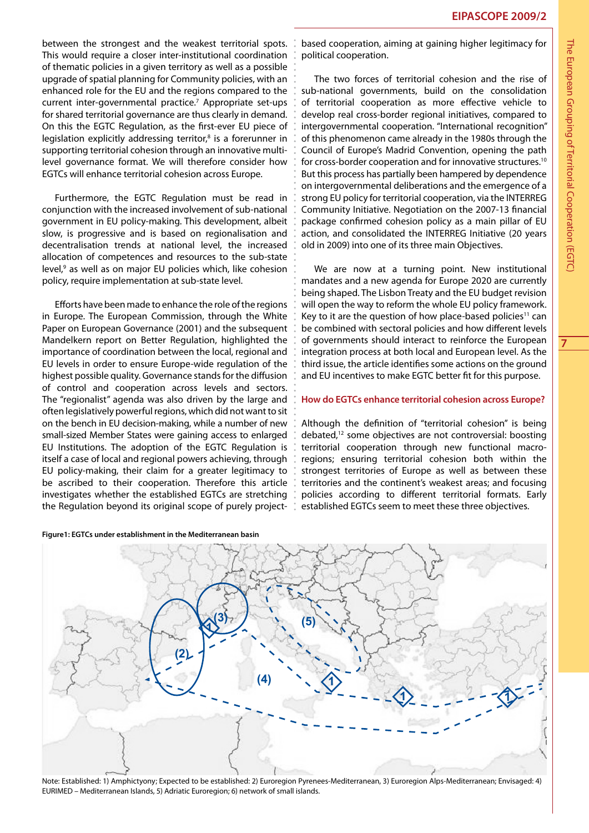between the strongest and the weakest territorial spots. This would require a closer inter-institutional coordination of thematic policies in a given territory as well as a possible upgrade of spatial planning for Community policies, with an enhanced role for the EU and the regions compared to the current inter-governmental practice.<sup>7</sup> Appropriate set-ups for shared territorial governance are thus clearly in demand. On this the EGTC Regulation, as the first-ever EU piece of legislation explicitly addressing territor,<sup>8</sup> is a forerunner in supporting territorial cohesion through an innovative multilevel governance format. We will therefore consider how EGTCs will enhance territorial cohesion across Europe.

Furthermore, the EGTC Regulation must be read in conjunction with the increased involvement of sub-national government in EU policy-making. This development, albeit slow, is progressive and is based on regionalisation and decentralisation trends at national level, the increased allocation of competences and resources to the sub-state level,<sup>9</sup> as well as on major EU policies which, like cohesion policy, require implementation at sub-state level.

Efforts have been made to enhance the role of the regions in Europe. The European Commission, through the White Paper on European Governance (2001) and the subsequent Mandelkern report on Better Regulation, highlighted the importance of coordination between the local, regional and EU levels in order to ensure Europe-wide regulation of the highest possible quality. Governance stands for the diffusion of control and cooperation across levels and sectors. The "regionalist" agenda was also driven by the large and often legislatively powerful regions, which did not want to sit on the bench in EU decision-making, while a number of new small-sized Member States were gaining access to enlarged EU Institutions. The adoption of the EGTC Regulation is itself a case of local and regional powers achieving, through EU policy-making, their claim for a greater legitimacy to be ascribed to their cooperation. Therefore this article investigates whether the established EGTCs are stretching the Regulation beyond its original scope of purely project-  $\sqrt{s}$ 

#### **Figure1: EGTCs under establishment in the Mediterranean basin**

based cooperation, aiming at gaining higher legitimacy for political cooperation.

The two forces of territorial cohesion and the rise of sub-national governments, build on the consolidation of territorial cooperation as more effective vehicle to develop real cross-border regional initiatives, compared to intergovernmental cooperation. "International recognition" of this phenomenon came already in the 1980s through the Council of Europe's Madrid Convention, opening the path for cross-border cooperation and for innovative structures.<sup>10</sup> But this process has partially been hampered by dependence on intergovernmental deliberations and the emergence of a strong EU policy for territorial cooperation, via the INTERREG Community Initiative. Negotiation on the 2007-13 financial package confirmed cohesion policy as a main pillar of EU action, and consolidated the INTERREG Initiative (20 years old in 2009) into one of its three main Objectives.

We are now at a turning point. New institutional mandates and a new agenda for Europe 2020 are currently being shaped. The Lisbon Treaty and the EU budget revision will open the way to reform the whole EU policy framework. Key to it are the question of how place-based policies<sup>11</sup> can be combined with sectoral policies and how different levels of governments should interact to reinforce the European integration process at both local and European level. As the third issue, the article identifies some actions on the ground and EU incentives to make EGTC better fit for this purpose.

#### **How do EGTCs enhance territorial cohesion across Europe?**

Although the definition of "territorial cohesion" is being debated,12 some objectives are not controversial: boosting territorial cooperation through new functional macroregions; ensuring territorial cohesion both within the strongest territories of Europe as well as between these territories and the continent's weakest areas; and focusing policies according to different territorial formats. Early established EGTCs seem to meet these three objectives.



Note: Established: 1) Amphictyony; Expected to be established: 2) Euroregion Pyrenees-Mediterranean, 3) Euroregion Alps-Mediterranean; Envisaged: 4) EURIMED – Mediterranean Islands, 5) Adriatic Euroregion; 6) network of small islands.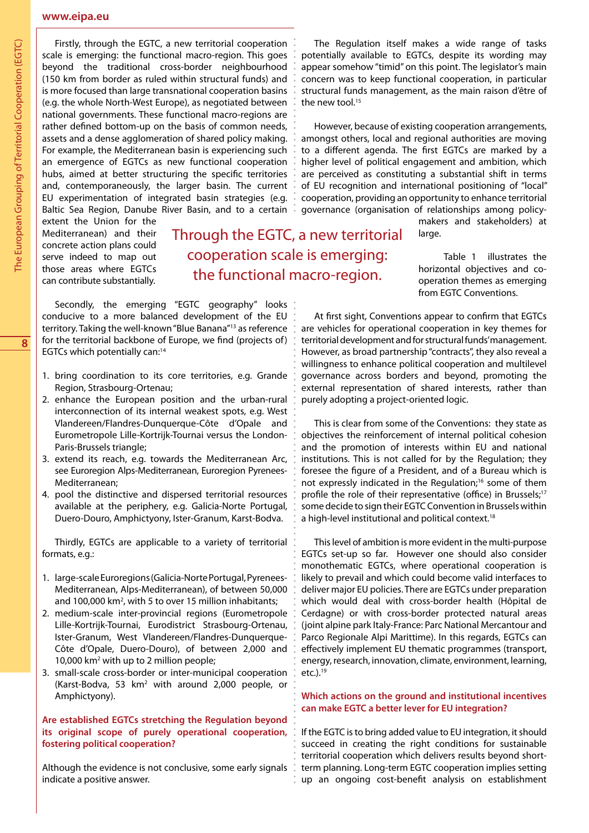## **www.eipa.eu**

Firstly, through the EGTC, a new territorial cooperation scale is emerging: the functional macro-region. This goes beyond the traditional cross-border neighbourhood (150 km from border as ruled within structural funds) and is more focused than large transnational cooperation basins (e.g. the whole North-West Europe), as negotiated between national governments. These functional macro-regions are rather defined bottom-up on the basis of common needs, assets and a dense agglomeration of shared policy making. For example, the Mediterranean basin is experiencing such an emergence of EGTCs as new functional cooperation hubs, aimed at better structuring the specific territories and, contemporaneously, the larger basin. The current EU experimentation of integrated basin strategies (e.g. Baltic Sea Region, Danube River Basin, and to a certain  $\sqrt[8]{ }$ 

extent the Union for the Mediterranean) and their concrete action plans could serve indeed to map out those areas where EGTCs can contribute substantially.

Through the EGTC, a new territorial cooperation scale is emerging: the functional macro-region.

Secondly, the emerging "EGTC geography" looks conducive to a more balanced development of the EU territory. Taking the well-known "Blue Banana"13 as reference for the territorial backbone of Europe, we find (projects of) EGTCs which potentially can:14

- 1. bring coordination to its core territories, e.g. Grande Region, Strasbourg-Ortenau;
- 2. enhance the European position and the urban-rural interconnection of its internal weakest spots, e.g. West Vlandereen/Flandres-Dunquerque-Côte d'Opale and Eurometropole Lille-Kortrijk-Tournai versus the London-Paris-Brussels triangle;
- 3. extend its reach, e.g. towards the Mediterranean Arc, see Euroregion Alps-Mediterranean, Euroregion Pyrenees-Mediterranean;
- 4. pool the distinctive and dispersed territorial resources available at the periphery, e.g. Galicia-Norte Portugal, Duero-Douro, Amphictyony, Ister-Granum, Karst-Bodva.

Thirdly, EGTCs are applicable to a variety of territorial formats, e.g.:

- 1. large-scale Euroregions (Galicia-Norte Portugal, Pyrenees-Mediterranean, Alps-Mediterranean), of between 50,000 and 100,000 km<sup>2</sup>, with 5 to over 15 million inhabitants;
- 2. medium-scale inter-provincial regions (Eurometropole Lille-Kortrijk-Tournai, Eurodistrict Strasbourg-Ortenau, Ister-Granum, West Vlandereen/Flandres-Dunquerque-Côte d'Opale, Duero-Douro), of between 2,000 and 10,000 km<sup>2</sup> with up to 2 million people;
- 3. small-scale cross-border or inter-municipal cooperation (Karst-Bodva, 53 km<sup>2</sup> with around 2,000 people, or Amphictyony).

#### **Are established EGTCs stretching the Regulation beyond its original scope of purely operational cooperation, fostering political cooperation?**

Although the evidence is not conclusive, some early signals indicate a positive answer.

The Regulation itself makes a wide range of tasks potentially available to EGTCs, despite its wording may appear somehow "timid" on this point. The legislator's main concern was to keep functional cooperation, in particular structural funds management, as the main raison d'être of the new tool.<sup>15</sup>

However, because of existing cooperation arrangements, amongst others, local and regional authorities are moving to a different agenda. The first EGTCs are marked by a higher level of political engagement and ambition, which are perceived as constituting a substantial shift in terms of EU recognition and international positioning of "local" cooperation, providing an opportunity to enhance territorial governance (organisation of relationships among policy-

makers and stakeholders) at large.

Table 1 illustrates the horizontal objectives and cooperation themes as emerging from EGTC Conventions.

At first sight, Conventions appear to confirm that EGTCs are vehicles for operational cooperation in key themes for territorial development and for structural funds' management. However, as broad partnership "contracts", they also reveal a willingness to enhance political cooperation and multilevel governance across borders and beyond, promoting the external representation of shared interests, rather than purely adopting a project-oriented logic.

This is clear from some of the Conventions: they state as objectives the reinforcement of internal political cohesion and the promotion of interests within EU and national institutions. This is not called for by the Regulation; they foresee the figure of a President, and of a Bureau which is not expressly indicated in the Regulation;<sup>16</sup> some of them profile the role of their representative (office) in Brussels;<sup>17</sup> some decide to sign their EGTC Convention in Brussels within a high-level institutional and political context.<sup>18</sup>

This level of ambition is more evident in the multi-purpose EGTCs set-up so far. However one should also consider monothematic EGTCs, where operational cooperation is likely to prevail and which could become valid interfaces to deliver major EU policies. There are EGTCs under preparation which would deal with cross-border health (Hôpital de Cerdagne) or with cross-border protected natural areas (joint alpine park Italy-France: Parc National Mercantour and Parco Regionale Alpi Marittime). In this regards, EGTCs can effectively implement EU thematic programmes (transport, energy, research, innovation, climate, environment, learning, etc.). $19$ 

#### **Which actions on the ground and institutional incentives can make EGTC a better lever for EU integration?**

If the EGTC is to bring added value to EU integration, it should succeed in creating the right conditions for sustainable territorial cooperation which delivers results beyond shortterm planning. Long-term EGTC cooperation implies setting up an ongoing cost-benefit analysis on establishment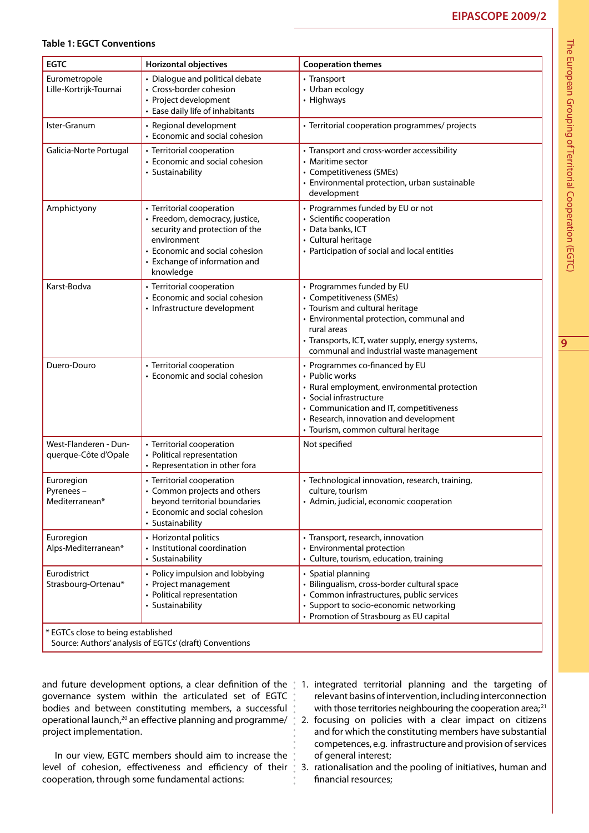#### **Table 1: EGCT Conventions**

| <b>EGTC</b>                                   | <b>Horizontal objectives</b>                                                                                                                                                                 | <b>Cooperation themes</b>                                                                                                                                                                                                                               |  |  |  |
|-----------------------------------------------|----------------------------------------------------------------------------------------------------------------------------------------------------------------------------------------------|---------------------------------------------------------------------------------------------------------------------------------------------------------------------------------------------------------------------------------------------------------|--|--|--|
| Eurometropole<br>Lille-Kortrijk-Tournai       | • Dialogue and political debate<br>• Cross-border cohesion<br>• Project development<br>• Ease daily life of inhabitants                                                                      | • Transport<br>• Urban ecology<br>• Highways                                                                                                                                                                                                            |  |  |  |
| Ister-Granum                                  | • Regional development<br>• Economic and social cohesion                                                                                                                                     | · Territorial cooperation programmes/ projects                                                                                                                                                                                                          |  |  |  |
| Galicia-Norte Portugal                        | • Territorial cooperation<br>• Economic and social cohesion<br>• Sustainability                                                                                                              | • Transport and cross-worder accessibility<br>• Maritime sector<br>• Competitiveness (SMEs)<br>• Environmental protection, urban sustainable<br>development                                                                                             |  |  |  |
| Amphictyony                                   | • Territorial cooperation<br>• Freedom, democracy, justice,<br>security and protection of the<br>environment<br>• Economic and social cohesion<br>• Exchange of information and<br>knowledge | • Programmes funded by EU or not<br>· Scientific cooperation<br>· Data banks, ICT<br>• Cultural heritage<br>• Participation of social and local entities                                                                                                |  |  |  |
| Karst-Bodva                                   | • Territorial cooperation<br>• Economic and social cohesion<br>• Infrastructure development                                                                                                  | • Programmes funded by EU<br>• Competitiveness (SMEs)<br>• Tourism and cultural heritage<br>• Environmental protection, communal and<br>rural areas<br>• Transports, ICT, water supply, energy systems,<br>communal and industrial waste management     |  |  |  |
| Duero-Douro                                   | • Territorial cooperation<br>• Economic and social cohesion                                                                                                                                  | • Programmes co-financed by EU<br>• Public works<br>• Rural employment, environmental protection<br>• Social infrastructure<br>• Communication and IT, competitiveness<br>• Research, innovation and development<br>· Tourism, common cultural heritage |  |  |  |
| West-Flanderen - Dun-<br>querque-Côte d'Opale | • Territorial cooperation<br>• Political representation<br>• Representation in other fora                                                                                                    | Not specified                                                                                                                                                                                                                                           |  |  |  |
| Euroregion<br>Pyrenees-<br>Mediterranean*     | • Territorial cooperation<br>• Common projects and others<br>beyond territorial boundaries<br>• Economic and social cohesion<br>• Sustainability                                             | · Technological innovation, research, training,<br>culture, tourism<br>• Admin, judicial, economic cooperation                                                                                                                                          |  |  |  |
| Euroregion<br>Alps-Mediterranean*             | • Horizontal politics<br>• Institutional coordination<br>• Sustainability                                                                                                                    | • Transport, research, innovation<br>• Environmental protection<br>• Culture, tourism, education, training                                                                                                                                              |  |  |  |
| Eurodistrict<br>Strasbourg-Ortenau*           | • Policy impulsion and lobbying<br>• Project management<br>• Political representation<br>• Sustainability                                                                                    | • Spatial planning<br>· Bilingualism, cross-border cultural space<br>• Common infrastructures, public services<br>· Support to socio-economic networking<br>• Promotion of Strasbourg as EU capital                                                     |  |  |  |
| * EGTCs close to being established            |                                                                                                                                                                                              |                                                                                                                                                                                                                                                         |  |  |  |

Source: Authors' analysis of EGTCs' (draft) Conventions

governance system within the articulated set of EGTC bodies and between constituting members, a successful operational launch,20 an effective planning and programme/ project implementation.

In our view, EGTC members should aim to increase the level of cohesion, effectiveness and efficiency of their  $\overline{\phantom{a}}$ cooperation, through some fundamental actions:

- and future development options, a clear definition of the 1. integrated territorial planning and the targeting of relevant basins of intervention, including interconnection with those territories neighbouring the cooperation area; $^{21}$ 
	- 2. focusing on policies with a clear impact on citizens and for which the constituting members have substantial competences, e.g. infrastructure and provision of services of general interest;
	- 3. rationalisation and the pooling of initiatives, human and financial resources;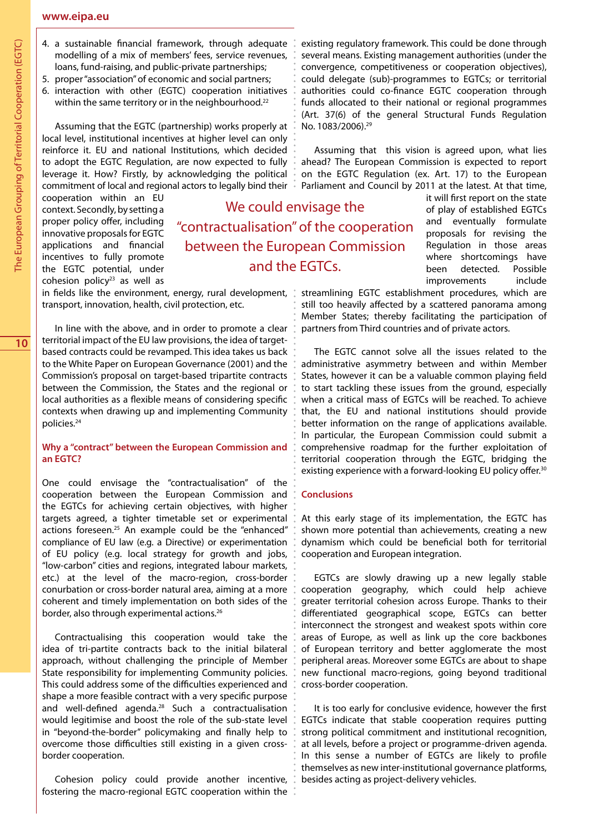- 4. a sustainable financial framework, through adequate modelling of a mix of members' fees, service revenues, loans, fund-raising, and public-private partnerships;
- 5. proper "association" of economic and social partners;
- 6. interaction with other (EGTC) cooperation initiatives within the same territory or in the neighbourhood.<sup>22</sup>

Assuming that the EGTC (partnership) works properly at local level, institutional incentives at higher level can only reinforce it. EU and national Institutions, which decided to adopt the EGTC Regulation, are now expected to fully leverage it. How? Firstly, by acknowledging the political commitment of local and regional actors to legally bind their  $\ddot{\bullet}$ 

cooperation within an EU context. Secondly, by setting a proper policy offer, including innovative proposals for EGTC applications and financial incentives to fully promote the EGTC potential, under cohesion policy<sup>23</sup> as well as

We could envisage the "contractualisation" of the cooperation between the European Commission and the EGTCs.

in fields like the environment, energy, rural development, transport, innovation, health, civil protection, etc.

In line with the above, and in order to promote a clear territorial impact of the EU law provisions, the idea of targetbased contracts could be revamped. This idea takes us back to the White Paper on European Governance (2001) and the Commission's proposal on target-based tripartite contracts between the Commission, the States and the regional or local authorities as a flexible means of considering specific contexts when drawing up and implementing Community policies.24

#### **Why a "contract" between the European Commission and an EGTC?**

One could envisage the "contractualisation" of the cooperation between the European Commission and the EGTCs for achieving certain objectives, with higher targets agreed, a tighter timetable set or experimental actions foreseen.<sup>25</sup> An example could be the "enhanced" compliance of EU law (e.g. a Directive) or experimentation of EU policy (e.g. local strategy for growth and jobs, "low-carbon" cities and regions, integrated labour markets, etc.) at the level of the macro-region, cross-border conurbation or cross-border natural area, aiming at a more coherent and timely implementation on both sides of the border, also through experimental actions.<sup>26</sup>

Contractualising this cooperation would take the idea of tri-partite contracts back to the initial bilateral approach, without challenging the principle of Member State responsibility for implementing Community policies. This could address some of the difficulties experienced and shape a more feasible contract with a very specific purpose and well-defined agenda.28 Such a contractualisation would legitimise and boost the role of the sub-state level in "beyond-the-border" policymaking and finally help to overcome those difficulties still existing in a given crossborder cooperation.

Cohesion policy could provide another incentive, fostering the macro-regional EGTC cooperation within the :

existing regulatory framework. This could be done through several means. Existing management authorities (under the convergence, competitiveness or cooperation objectives), could delegate (sub)-programmes to EGTCs; or territorial authorities could co-finance EGTC cooperation through funds allocated to their national or regional programmes (Art. 37(6) of the general Structural Funds Regulation No. 1083/2006).<sup>29</sup>

Assuming that this vision is agreed upon, what lies ahead? The European Commission is expected to report on the EGTC Regulation (ex. Art. 17) to the European Parliament and Council by 2011 at the latest. At that time,

> it will first report on the state of play of established EGTCs and eventually formulate proposals for revising the Regulation in those areas where shortcomings have been detected. Possible improvements include

streamlining EGTC establishment procedures, which are still too heavily affected by a scattered panorama among Member States; thereby facilitating the participation of partners from Third countries and of private actors.

The EGTC cannot solve all the issues related to the administrative asymmetry between and within Member States, however it can be a valuable common playing field to start tackling these issues from the ground, especially when a critical mass of EGTCs will be reached. To achieve that, the EU and national institutions should provide better information on the range of applications available. In particular, the European Commission could submit a comprehensive roadmap for the further exploitation of territorial cooperation through the EGTC, bridging the existing experience with a forward-looking EU policy offer.<sup>30</sup>

## **Conclusions**

At this early stage of its implementation, the EGTC has shown more potential than achievements, creating a new dynamism which could be beneficial both for territorial cooperation and European integration.

EGTCs are slowly drawing up a new legally stable cooperation geography, which could help achieve greater territorial cohesion across Europe. Thanks to their differentiated geographical scope, EGTCs can better interconnect the strongest and weakest spots within core areas of Europe, as well as link up the core backbones of European territory and better agglomerate the most peripheral areas. Moreover some EGTCs are about to shape new functional macro-regions, going beyond traditional cross-border cooperation.

It is too early for conclusive evidence, however the first EGTCs indicate that stable cooperation requires putting strong political commitment and institutional recognition, at all levels, before a project or programme-driven agenda. In this sense a number of EGTCs are likely to profile themselves as new inter-institutional governance platforms, besides acting as project-delivery vehicles.

The European Grouping of Territorial Cooperation (EGTC)

The European Grouping of Territorial Cooperation (EGTC)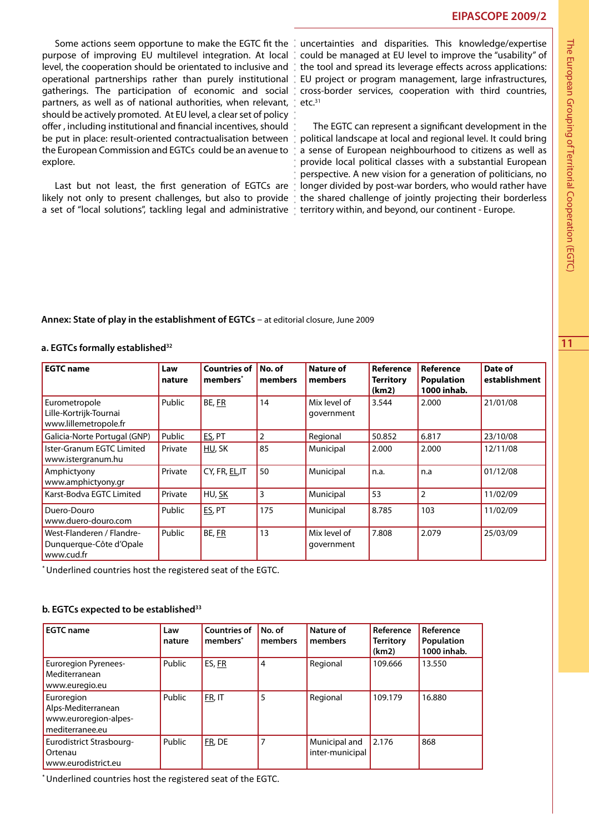purpose of improving EU multilevel integration. At local level, the cooperation should be orientated to inclusive and operational partnerships rather than purely institutional gatherings. The participation of economic and social partners, as well as of national authorities, when relevant, should be actively promoted. At EU level, a clear set of policy offer , including institutional and financial incentives, should be put in place: result-oriented contractualisation between the European Commission and EGTCs could be an avenue to explore.

Last but not least, the first generation of EGTCs are likely not only to present challenges, but also to provide a set of "local solutions", tackling legal and administrative

Some actions seem opportune to make the EGTC fit the : uncertainties and disparities. This knowledge/expertise could be managed at EU level to improve the "usability" of the tool and spread its leverage effects across applications: EU project or program management, large infrastructures, cross-border services, cooperation with third countries,  $etc.<sup>31</sup>$ 

> The EGTC can represent a significant development in the political landscape at local and regional level. It could bring a sense of European neighbourhood to citizens as well as provide local political classes with a substantial European perspective. A new vision for a generation of politicians, no longer divided by post-war borders, who would rather have the shared challenge of jointly projecting their borderless territory within, and beyond, our continent - Europe.

#### **Annex: State of play in the establishment of EGTCs** – at editorial closure, June 2009

#### **a. EGTCs formally established32**

| <b>EGTC</b> name                                                   | Law<br>nature | <b>Countries of</b><br>members <sup>*</sup> | No. of<br>members | <b>Nature of</b><br>members | <b>Reference</b><br><b>Territory</b><br>(km2) | <b>Reference</b><br><b>Population</b><br>1000 inhab. | Date of<br>establishment |
|--------------------------------------------------------------------|---------------|---------------------------------------------|-------------------|-----------------------------|-----------------------------------------------|------------------------------------------------------|--------------------------|
| Eurometropole<br>Lille-Kortrijk-Tournai<br>www.lillemetropole.fr   | Public        | BE, FR                                      | 14                | Mix level of<br>government  | 3.544                                         | 2.000                                                | 21/01/08                 |
| Galicia-Norte Portugal (GNP)                                       | Public        | ES, PT                                      | $\overline{2}$    | Regional                    | 50.852                                        | 6.817                                                | 23/10/08                 |
| Ister-Granum EGTC Limited<br>www.istergranum.hu                    | Private       | HU, SK                                      | 85                | Municipal                   | 2.000                                         | 2.000                                                | 12/11/08                 |
| Amphictyony<br>www.amphictyony.gr                                  | Private       | CY, FR, EL, IT                              | 50                | Municipal                   | n.a.                                          | n.a                                                  | 01/12/08                 |
| Karst-Bodva EGTC Limited                                           | Private       | HU, SK                                      | 3                 | Municipal                   | 53                                            | $\overline{2}$                                       | 11/02/09                 |
| Duero-Douro<br>www.duero-douro.com                                 | Public        | ES, PT                                      | 175               | Municipal                   | 8.785                                         | 103                                                  | 11/02/09                 |
| West-Flanderen / Flandre-<br>Dunquerque-Côte d'Opale<br>www.cud.fr | Public        | BE, FR                                      | 13                | Mix level of<br>government  | 7.808                                         | 2.079                                                | 25/03/09                 |

\* Underlined countries host the registered seat of the EGTC.

#### **b. EGTCs expected to be established33**

| <b>EGTC</b> name                                                             | Law<br>nature | <b>Countries of</b><br>members <sup>*</sup> | No. of<br>members | Nature of<br>members             | Reference<br><b>Territory</b><br>(km2) | Reference<br>Population<br>1000 inhab. |
|------------------------------------------------------------------------------|---------------|---------------------------------------------|-------------------|----------------------------------|----------------------------------------|----------------------------------------|
| <b>Euroregion Pyrenees-</b><br>Mediterranean<br>www.euregio.eu               | Public        | ES, FR                                      | 4                 | Regional                         | 109.666                                | 13.550                                 |
| Euroregion<br>Alps-Mediterranean<br>www.euroregion-alpes-<br>mediterranee.eu | Public        | FR, IT                                      | 5                 | Regional                         | 109.179                                | 16.880                                 |
| Eurodistrict Strasbourg-<br>Ortenau<br>www.eurodistrict.eu                   | Public        | FR, DE                                      |                   | Municipal and<br>inter-municipal | 2.176                                  | 868                                    |

\* Underlined countries host the registered seat of the EGTC.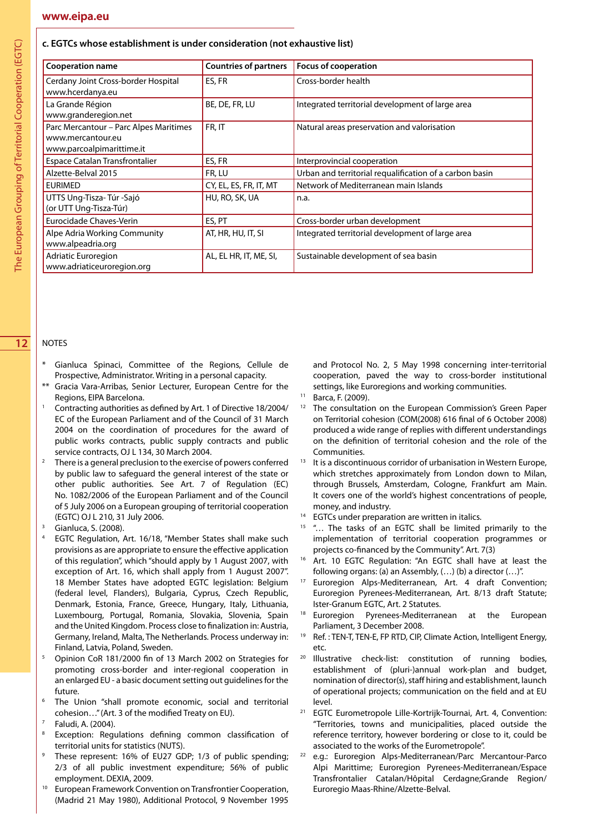#### **c. EGTCs whose establishment is under consideration (not exhaustive list)**

| <b>Cooperation name</b>                                                                  | <b>Countries of partners</b> | <b>Focus of cooperation</b>                             |
|------------------------------------------------------------------------------------------|------------------------------|---------------------------------------------------------|
| Cerdany Joint Cross-border Hospital<br>www.hcerdanya.eu                                  | ES, FR                       | Cross-border health                                     |
| La Grande Région<br>www.granderegion.net                                                 | BE, DE, FR, LU               | Integrated territorial development of large area        |
| Parc Mercantour - Parc Alpes Maritimes<br>www.mercantour.eu<br>www.parcoalpimarittime.it | FR, IT                       | Natural areas preservation and valorisation             |
| <b>Espace Catalan Transfrontalier</b>                                                    | ES, FR                       | Interprovincial cooperation                             |
| Alzette-Belval 2015                                                                      | FR, LU                       | Urban and territorial requalification of a carbon basin |
| <b>EURIMED</b>                                                                           | CY, EL, ES, FR, IT, MT       | Network of Mediterranean main Islands                   |
| UTTS Ung-Tisza-Túr-Sajó<br>(or UTT Ung-Tisza-Túr)                                        | HU, RO, SK, UA               | n.a.                                                    |
| Eurocidade Chaves-Verin                                                                  | ES, PT                       | Cross-border urban development                          |
| Alpe Adria Working Community<br>www.alpeadria.org                                        | AT, HR, HU, IT, SI           | Integrated territorial development of large area        |
| Adriatic Euroregion<br>www.adriaticeuroregion.org                                        | AL, EL HR, IT, ME, SI,       | Sustainable development of sea basin                    |

#### **12** NOTES

- Gianluca Spinaci, Committee of the Regions, Cellule de Prospective, Administrator. Writing in a personal capacity.
- Gracia Vara-Arribas, Senior Lecturer, European Centre for the Regions, EIPA Barcelona.
- <sup>1</sup> Contracting authorities as defined by Art. 1 of Directive 18/2004/ EC of the European Parliament and of the Council of 31 March 2004 on the coordination of procedures for the award of public works contracts, public supply contracts and public service contracts, OJ L 134, 30 March 2004.
- There is a general preclusion to the exercise of powers conferred by public law to safeguard the general interest of the state or other public authorities. See Art. 7 of Regulation (EC) No. 1082/2006 of the European Parliament and of the Council of 5 July 2006 on a European grouping of territorial cooperation (EGTC) OJ L 210, 31 July 2006.
- Gianluca, S. (2008).
- EGTC Regulation, Art. 16/18, "Member States shall make such provisions as are appropriate to ensure the effective application of this regulation", which "should apply by 1 August 2007, with exception of Art. 16, which shall apply from 1 August 2007". 18 Member States have adopted EGTC legislation: Belgium (federal level, Flanders), Bulgaria, Cyprus, Czech Republic, Denmark, Estonia, France, Greece, Hungary, Italy, Lithuania, Luxembourg, Portugal, Romania, Slovakia, Slovenia, Spain and the United Kingdom. Process close to finalization in: Austria, Germany, Ireland, Malta, The Netherlands. Process underway in: Finland, Latvia, Poland, Sweden.
- <sup>5</sup> Opinion CoR 181/2000 fin of 13 March 2002 on Strategies for promoting cross-border and inter-regional cooperation in an enlarged EU - a basic document setting out guidelines for the future.
- The Union "shall promote economic, social and territorial cohesion..." (Art. 3 of the modified Treaty on EU).<br>Faludi, A. (2004).
- 
- Exception: Regulations defining common classification of territorial units for statistics (NUTS).
- These represent: 16% of EU27 GDP; 1/3 of public spending; 2/3 of all public investment expenditure; 56% of public employment. DEXIA, 2009.
- <sup>10</sup> European Framework Convention on Transfrontier Cooperation, (Madrid 21 May 1980), Additional Protocol, 9 November 1995

and Protocol No. 2, 5 May 1998 concerning inter-territorial cooperation, paved the way to cross-border institutional settings, like Euroregions and working communities.

- <sup>11</sup> Barca, F. (2009).
- <sup>12</sup> The consultation on the European Commission's Green Paper on Territorial cohesion (COM(2008) 616 final of 6 October 2008) produced a wide range of replies with different understandings on the definition of territorial cohesion and the role of the **Communities**
- $13$  It is a discontinuous corridor of urbanisation in Western Europe, which stretches approximately from London down to Milan, through Brussels, Amsterdam, Cologne, Frankfurt am Main. It covers one of the world's highest concentrations of people, money, and industry.
- <sup>14</sup> EGTCs under preparation are written in italics.
- <sup>15</sup> "... The tasks of an EGTC shall be limited primarily to the implementation of territorial cooperation programmes or projects co-financed by the Community". Art. 7(3)
- <sup>16</sup> Art. 10 EGTC Regulation: "An EGTC shall have at least the following organs: (a) an Assembly, (…) (b) a director (…)".
- <sup>17</sup> Euroregion Alps-Mediterranean, Art. 4 draft Convention; Euroregion Pyrenees-Mediterranean, Art. 8/13 draft Statute; Ister-Granum EGTC, Art. 2 Statutes.
- <sup>18</sup> Euroregion Pyrenees-Mediterranean at the European Parliament, 3 December 2008.
- <sup>19</sup> Ref. : TEN-T, TEN-E, FP RTD, CIP, Climate Action, Intelligent Energy, etc.
- <sup>20</sup> Illustrative check-list: constitution of running bodies, establishment of (pluri-)annual work-plan and budget, nomination of director(s), staff hiring and establishment, launch of operational projects; communication on the field and at EU level.
- <sup>21</sup> EGTC Eurometropole Lille-Kortrijk-Tournai, Art. 4, Convention: "Territories, towns and municipalities, placed outside the reference territory, however bordering or close to it, could be associated to the works of the Eurometropole". 22 e.g.: Euroregion Alps-Mediterranean/Parc Mercantour-Parco
- Alpi Marittime; Euroregion Pyrenees-Mediterranean/Espace Transfrontalier Catalan/Hôpital Cerdagne;Grande Region/ Euroregio Maas-Rhine/Alzette-Belval.